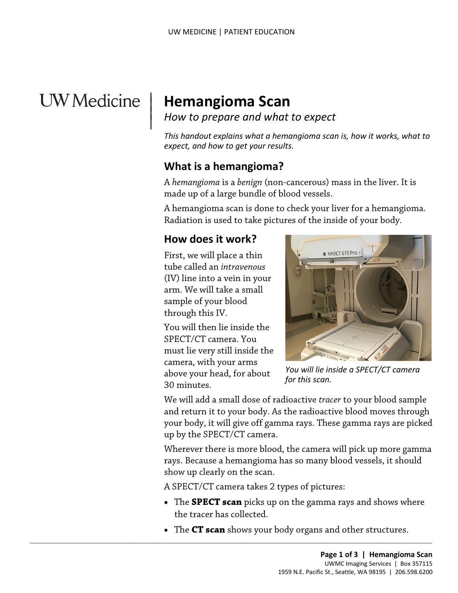# **UW** Medicine

 $\overline{\phantom{a}}$ 

# <sup>|</sup>**Hemangioma Scan** | *How to prepare and what to expect* <sup>|</sup>

*This handout explains what a hemangioma scan is, how it works, what to expect, and how to get your results.* 

#### **What is a hemangioma?**

 A *hemangioma* is a *benign* (non-cancerous) mass in the liver. It is made up of a large bundle of blood vessels.

 Radiation is used to take pictures of the inside of your body. A hemangioma scan is done to check your liver for a hemangioma.

#### **How does it work?**

First, we will place a thin tube called an *intravenous*  (IV) line into a vein in your arm. We will take a small sample of your blood through this IV.

You will then lie inside the SPECT/CT camera. You must lie very still inside the camera, with your arms above your head, for about 30 minutes.



*You will lie inside a SPECT/CT camera for this scan.* 

 We will add a small dose of radioactive *tracer* to your blood sample and return it to your body. As the radioactive blood moves through your body, it will give off gamma rays. These gamma rays are picked up by the SPECT/CT camera.

Wherever there is more blood, the camera will pick up more gamma rays. Because a hemangioma has so many blood vessels, it should show up clearly on the scan.

A SPECT/CT camera takes 2 types of pictures:

 $\_$  ,  $\_$  ,  $\_$  ,  $\_$  ,  $\_$  ,  $\_$  ,  $\_$  ,  $\_$  ,  $\_$  ,  $\_$  ,  $\_$  ,  $\_$  ,  $\_$  ,  $\_$  ,  $\_$  ,  $\_$  ,  $\_$  ,  $\_$  ,  $\_$  ,  $\_$  ,  $\_$  ,  $\_$  ,  $\_$  ,  $\_$  ,  $\_$  ,  $\_$  ,  $\_$  ,  $\_$  ,  $\_$  ,  $\_$  ,  $\_$  ,  $\_$  ,  $\_$  ,  $\_$  ,  $\_$  ,  $\_$  ,  $\_$  ,

- • The **SPECT scan** picks up on the gamma rays and shows where the tracer has collected.
- The **CT scan** shows your body organs and other structures.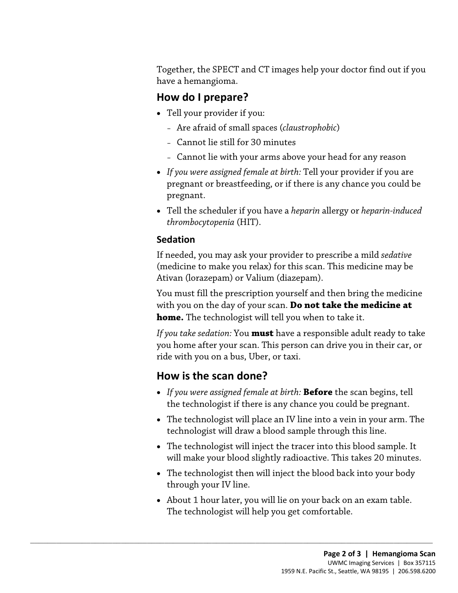Together, the SPECT and CT images help your doctor find out if you have a hemangioma.

#### **How do I prepare?**

- • Tell your provider if you:
	- Are afraid of small spaces (*claustrophobic*)
	- Cannot lie still for 30 minutes
	- Cannot lie with your arms above your head for any reason
- *If you were assigned female at birth:* Tell your provider if you are pregnant or breastfeeding, or if there is any chance you could be pregnant.
- *thrombocytopenia* (HIT). • Tell the scheduler if you have a *heparin* allergy or *heparin-induced*

#### **Sedation**

For the scheduler H you have a heparth anergy of heparth interaction<br>thrombocytopenia (HIT).<br>If needed, you may ask your provider to prescribe a mild *sedative*<br>(medicine to make you relax) for this scan. This medicine may If needed, you may ask your provider to prescribe a mild *sedative*  (medicine to make you relax) for this scan. This medicine may be Ativan (lorazepam) or Valium (diazepam).

 You must fill the prescription yourself and then bring the medicine with you on the day of your scan. **Do not take the medicine at home.** The technologist will tell you when to take it.

*If you take sedation:* You **must** have a responsible adult ready to take you home after your scan. This person can drive you in their car, or ride with you on a bus, Uber, or taxi.

### **How is the scan done?**

 $\_$  ,  $\_$  ,  $\_$  ,  $\_$  ,  $\_$  ,  $\_$  ,  $\_$  ,  $\_$  ,  $\_$  ,  $\_$  ,  $\_$  ,  $\_$  ,  $\_$  ,  $\_$  ,  $\_$  ,  $\_$  ,  $\_$  ,  $\_$  ,  $\_$  ,  $\_$  ,  $\_$  ,  $\_$  ,  $\_$  ,  $\_$  ,  $\_$  ,  $\_$  ,  $\_$  ,  $\_$  ,  $\_$  ,  $\_$  ,  $\_$  ,  $\_$  ,  $\_$  ,  $\_$  ,  $\_$  ,  $\_$  ,  $\_$  ,

- • *If you were assigned female at birth:* **Before** the scan begins, tell the technologist if there is any chance you could be pregnant.
- The technologist will place an IV line into a vein in your arm. The technologist will draw a blood sample through this line.
- The technologist will inject the tracer into this blood sample. It will make your blood slightly radioactive. This takes 20 minutes.
- The technologist then will inject the blood back into your body through your IV line.
- The technologist will help you get comfortable. • About 1 hour later, you will lie on your back on an exam table.